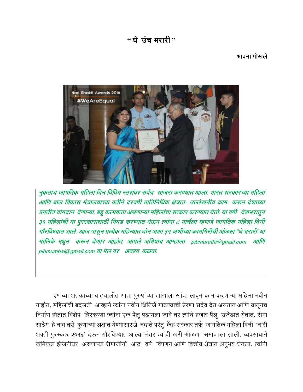# $\cdot$  घे उंच भरारी $\cdot$

### भावना गोखले



नुकताच जागतिक महिला दिन विविध स्तरांवर सर्वत्र साजरा करण्यात आला. भारत सरकारच्या महिला आणि बाल विकास मंत्रालयाच्या वतीने दरवर्षी प्रातिनिधिक क्षेत्रात उल्लेखनीय काम करून देशाच्या प्रगतीत योगदान देणाऱ्या, बहु कल्पकता असणाऱ्या महिलांचा सत्कार करण्यात येतो. या वर्षी देशभरातून ३१ महिलांची या पुरस्कारासाठी निवड करण्यात येऊन त्यांना ८ मार्चला म्हणजे जागतिक महिला दिनी गोरविण्यात आले. आज पासून प्रत्येक महिन्यात दोन अशा ३१ जणींच्या कामगिरीची ओळख "घे भरारी' या मालिके मधून करून देणार आहोत. आपले अभिप्राय आम्हाला pibmarathi@gmail.com आणि pibmumbai@gmail.com या मेल वर अवश्य कळवा.

२१ व्या शतकाच्या वाटचालीत आता पुरुषांच्या खांद्याला खांदा लावून काम करणाऱ्या महिला नवीन नाहीत, महिलांची बदलती आव्हाने त्यांना नवीन क्षितिजे गाठण्याची प्रेरणा सदैव देत असतात आणि यातूनच निर्माण होतात विशेष हिरकण्या ज्यांना एक पैलू पडायला जावे तर त्यांचे हजार पैलू उजेडात येतात. रीमा साठेय हे नाव तसे कुणाच्या लक्षात येण्यासारखे नव्हते परंतु केंद्र सरकार तर्फे जागतिक महिला दिनी 'नारी शक्ती पुरस्कार २०१६' देऊन गौरविण्यात आल्या नंतर त्यांची खरी ओळख समाजाला झाली. व्यवसायाने केमिकल इंजिनीयर असणाऱ्या रीमाजींनी आठ वर्षे विपणन आणि वित्तीय क्षेत्रात अनुभव घेतला. त्यांनी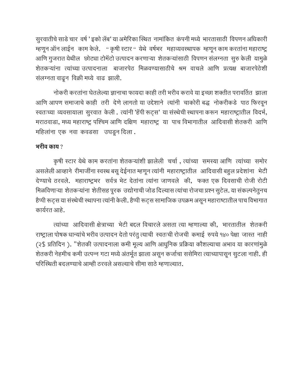सुरवातीचे साडे चार वर्ष ' इको लॅब' या अमेरिका स्थित नामांकित कंपनी मध्ये भारतासाठी विपणन अधिकारी म्हणून ऑन लाईन काम केले. " कृषी स्टार "येथे वर्षभर महाव्यवस्थापक म्हणून काम करतांना महाराष्ट्र आणि गुजरात येथील छोट्या टोमॅटो उत्पादन करणाऱ्या शेतकऱ्यांसाठी विपणन संलग्नता सुरु केली यामुळे शेतकऱ्यांना त्यांच्या उत्पादनाला बाजारपेठ मिळवण्यासाठीचे श्रम वाचले आणि प्रत्यक्ष बाजारपेठेशी संलग्नता वाढून विक्री मध्ये वाढ झाली.

नोकरी करतांना घेतलेल्या ज्ञानाचा फायदा काही तरी भरीव करावे या इच्छा शक्तीत परावर्तित झाला आणि आपण समाजाचे काही तरी देणे लागतो या उद्देशाने त्यांनी चाकोरी बद्ध नोकरीकडे पाठ फिरवून स्वतःच्या व्यवसायाला सुरवात केली. त्यांनी 'हॅपी रूट्स' या संस्थेची स्थापना करून महाराष्ट्रातील विदर्भ, मराठवाडा, मध्य महाराष्ट्र पश्चिम आणि दक्षिण महाराष्ट्र या पाच विभागातील आदिवासी शेतकरी आणि महिलांना एक नवा कवडसा उघडून दिला.

## भरीव काय $\,$  ?

कृषी स्टार येथे काम करतांना शेतकऱ्यांशी झालेली चर्चा, त्यांच्या समस्या आणि त्यांच्या समोर असलेली आव्हाने शेमाजींना स्वस्थ बसू देईनात म्हणून त्यांनी महाराष्ट्रातील आदिवासी बहुल प्रदेशांना भेटी देण्याचे ठरवले. महाराष्ट्रभर सर्वत्र भेट देतांना त्यांना जाणवले की, फक्त एक दिवसाची रोजी रोटी मिळविणाऱ्या शेतकऱ्यांना शेतीसह पूरक उद्योगाची जोड दिल्यास त्यांचा रोजचा प्रश्न सुटेल. या संकल्पनेतुनच हैप्पी रूट्स या संस्थेची स्थापना त्यांनी केली. हैप्पी रूट्स सामाजिक उपक्रम असून महाराष्टातील पाच विभागात कार्यरत आहे.

त्यांच्या आदिवासी क्षेत्राच्या भेटी बद्दल विचारले असता त्या म्हणाल्या की, भारतातील शेतकरी राष्ट्राला पोषक धान्यांचे भरीव उत्पादन देतो परंतु त्याची स्वतःची रोजची कमाई रुपये १४० पेक्षा जास्त नाही (२\$ प्रतिदिन). "शेतकी उत्पादनाला कमी मूल्य आणि आधुनिक प्रक्रिया कौशल्याचा अभाव या कारणांमुळे शेतकरी नेहमीच कमी उत्पन्न गटा मध्ये अंतर्भूत झाला असून कर्जाचा ससेमिरा त्याच्यापासून सुटला नाही. ही परिस्थिती बदलण्याचे आम्ही ठरवले असल्याचे सीमा साठे म्हणाल्यात.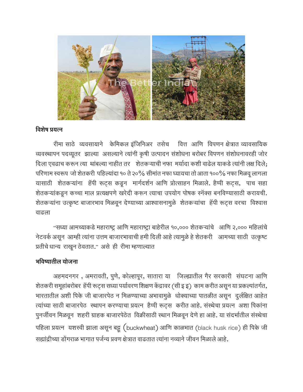

## विशेष प्रयत्न

रीमा साठे व्यवसायाने केमिकल इंजिनिअर तसेच वित्त आणि विपणन क्षेत्रात व्यावसायिक व्यवस्थापन पदव्यूतर झाल्या असल्याने त्यांनी कृषी उत्पादन संशोधना बरोबर विपणन संशोधनावरही जोर दिला एवढाच करून त्या थांबल्या नाहीत तर शेतकऱ्याची नफा मर्यादा कशी वाढेल याकडे त्यांनी लक्ष दिले; परिणाम स्वरूप जो शेतकरी पहिल्यांदा १० ते २०% सीमांत नफा घ्यायचा तो आता १००% नफा मिळवू लागला यासाठी शेतकऱ्यांना हॅपी रूट्स कडून मार्गदर्शन आणि प्रोत्साहन मिळाले. हैप्पी रूट्स, पाच सहा शेतकऱ्यांकडून कच्चा माल प्रत्यक्षपणे खरेदी करून त्याचा उपयोग पोषक स्नॅक्स बनविण्यासाठी करायची. शेतकऱ्यांना उत्कृष्ट बाजारभाव मिळवून देण्याच्या आश्वासनामुळे शेतकऱ्यांचा हॅपी रूट्स वरचा विश्वास वाढला

"सध्या आमच्याकडे महाराष्ट्र आणि महाराष्ट्रा बाहेरील १०,००० शेतकऱ्यांचे आणि २,००० महिलांचे नेटवर्क असून आम्ही त्यांना उत्तम बाजारभावाची हमी दिली आहे त्यामुळे हे शेतकरी आमच्या साठी उत्कृष्ट प्रतीचे धान्य राखून ठेवतात." असे ही रीमा म्हणाल्यात

## भविष्यातील योजना

अहमदनगर, अमरावती, पुणे, कोल्हापूर, सातारा या जिल्ह्यातील गैर सरकारी संघटना आणि शेतकरी समूहांबरोबर हॅपी रूट्स सध्या पर्यावरण शिक्षण केंद्रावर (सी इ इ) काम करीत असून या प्रकल्पांतर्गत, भारतातील अशी पिके जी बाजारपेठ न मिळण्याच्या अभावामुळे धोक्याच्या पातळीत असून दुर्लक्षित आहेत त्यांच्या साठी बाजारपेठ स्थापन करण्याचा प्रयत्न हैप्पी रूट्स करीत आहे. संस्थेचा प्रयत्न अशा पिकांना पुनर्जीवन मिळवून) शहरी ग्राहक बाजारपेठेत) विक्रीसाठी स्थान मिळवून देणे हा आहे. या संदर्भातील संस्थेचा पहिला प्रयत्न यशस्वी झाला असून बट्टू (buckwheat) आणि काळभात (black husk rice) ही पिके जी सह्यांद्रीच्या डोंगराळ भागात पर्जन्य प्रवण क्षेत्रात वाढतात त्यांना नव्याने जीवन मिळाले आहे.